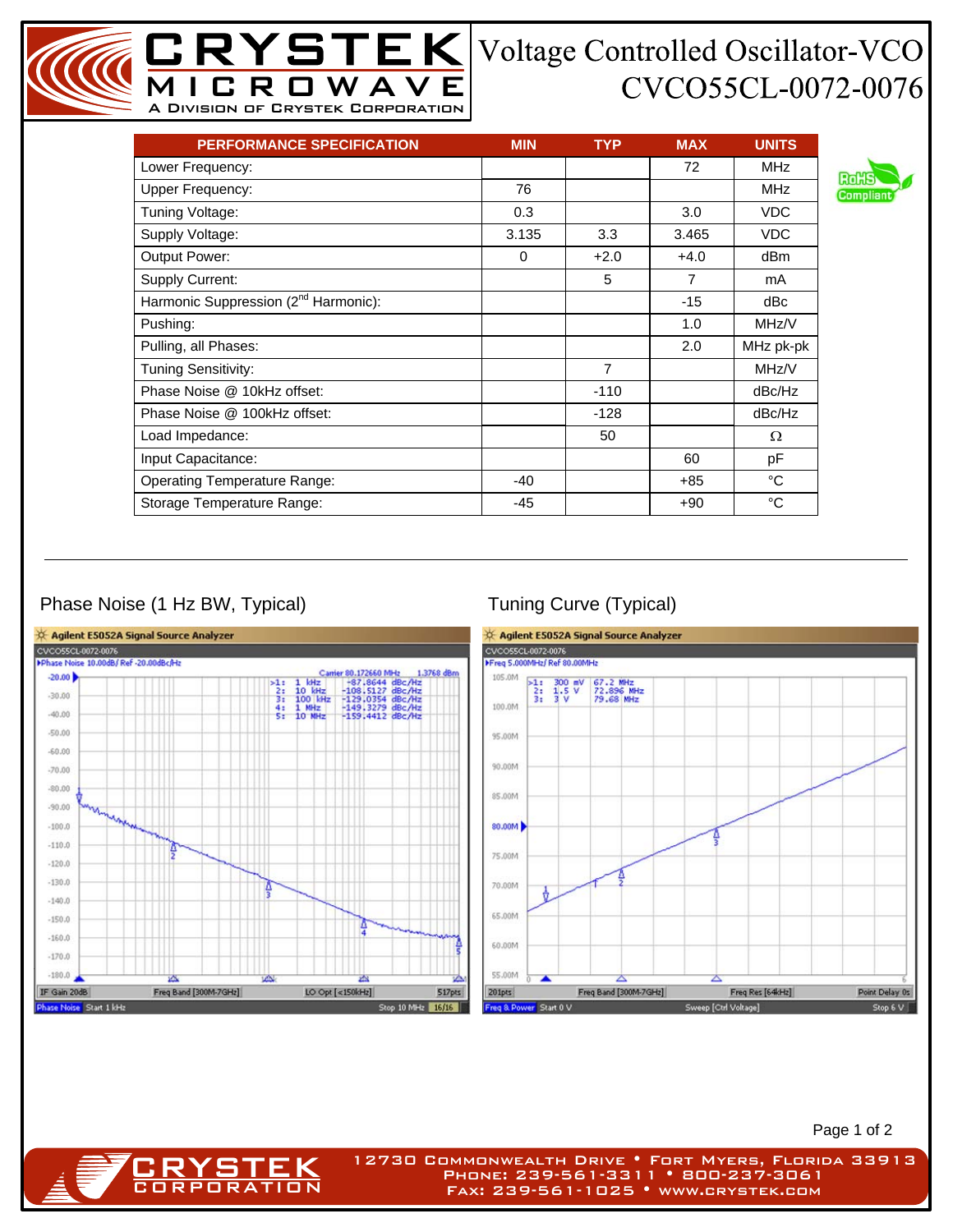## CVCO55CL-0072-0076

| <b>PERFORMANCE SPECIFICATION</b>                 | <b>MIN</b> | <b>TYP</b>     | <b>MAX</b>     | <b>UNITS</b> |
|--------------------------------------------------|------------|----------------|----------------|--------------|
| Lower Frequency:                                 |            |                | 72             | <b>MHz</b>   |
| <b>Upper Frequency:</b>                          | 76         |                |                | <b>MHz</b>   |
| Tuning Voltage:                                  | 0.3        |                | 3.0            | <b>VDC</b>   |
| Supply Voltage:                                  | 3.135      | 3.3            | 3.465          | <b>VDC</b>   |
| Output Power:                                    | $\Omega$   | $+2.0$         | $+4.0$         | dBm          |
| <b>Supply Current:</b>                           |            | 5              | $\overline{7}$ | mA           |
| Harmonic Suppression (2 <sup>nd</sup> Harmonic): |            |                | $-15$          | dBc          |
| Pushing:                                         |            |                | 1.0            | MHz/V        |
| Pulling, all Phases:                             |            |                | 2.0            | MHz pk-pk    |
| Tuning Sensitivity:                              |            | $\overline{7}$ |                | MHz/V        |
| Phase Noise @ 10kHz offset:                      |            | $-110$         |                | dBc/Hz       |
| Phase Noise @ 100kHz offset:                     |            | $-128$         |                | dBc/Hz       |
| Load Impedance:                                  |            | 50             |                | Ω            |
| Input Capacitance:                               |            |                | 60             | pF           |
| <b>Operating Temperature Range:</b>              | $-40$      |                | $+85$          | °C           |
| Storage Temperature Range:                       | -45        |                | $+90$          | °C           |

MICROWAVE A Division of Crystek Corporation

## Phase Noise (1 Hz BW, Typical) Tuning Curve (Typical)

**CRYSTEK** 



Page 1 of 2

12730 Commonwealth Drive • Fort Myers, Florida 33913 Phone: 239-561-3311 • 800-237-3061 Fax: 239-561-1025 • www.crystek.com